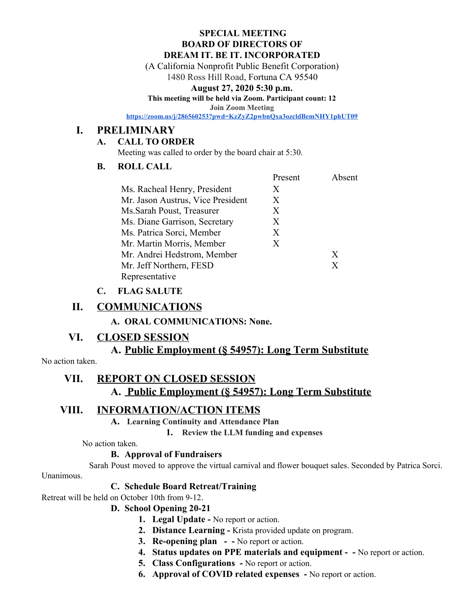#### **SPECIAL MEETING BOARD OF DIRECTORS OF DREAM IT. BE IT. INCORPORATED**

(A California Nonprofit Public Benefit Corporation)

1480 Ross Hill Road, Fortuna CA 95540

### **August 27, 2020 5:30 p.m.**

**This meeting will be held via Zoom. Participant count: 12**

**Join Zoom Meeting**

**<https://zoom.us/j/286560253?pwd=KzZyZ2pwbnQxa3ozcldBemNHY1phUT09>**

## **I. PRELIMINARY**

### **A. CALL TO ORDER**

Meeting was called to order by the board chair at 5:30.

## **B. ROLL CALL**

|                                   | Present | Absent |
|-----------------------------------|---------|--------|
| Ms. Racheal Henry, President      | X       |        |
| Mr. Jason Austrus, Vice President | X       |        |
| Ms.Sarah Poust, Treasurer         | X       |        |
| Ms. Diane Garrison, Secretary     | X       |        |
| Ms. Patrica Sorci, Member         | X       |        |
| Mr. Martin Morris, Member         | X       |        |
| Mr. Andrei Hedstrom, Member       |         | X      |
| Mr. Jeff Northern, FESD           |         | X      |
| Representative                    |         |        |

## **C. FLAG SALUTE**

## **II. COMMUNICATIONS**

**A. ORAL COMMUNICATIONS: None.**

## **VI. CLOSED SESSION**

# **A. Public Employment (§ 54957): Long Term Substitute**

No action taken.

# **VII. REPORT ON CLOSED SESSION**

# **A. Public Employment (§ 54957): Long Term Substitute**

# **VIII. INFORMATION/ACTION ITEMS**

**A. Learning Continuity and Attendance Plan**

**1. Review the LLM funding and expenses**

No action taken.

### **B. Approval of Fundraisers**

Sarah Poust moved to approve the virtual carnival and flower bouquet sales. Seconded by Patrica Sorci. Unanimous.

## **C. Schedule Board Retreat/Training**

Retreat will be held on October 10th from 9-12.

### **D. School Opening 20-21**

- **1. Legal Update** No report or action.
- **2. Distance Learning** Krista provided update on program.
- **3. Re-opening plan -** No report or action.
- **4. Status updates on PPE materials and equipment -** No report or action.
- **5. Class Configurations** No report or action.
- **6. Approval of COVID related expenses** No report or action.